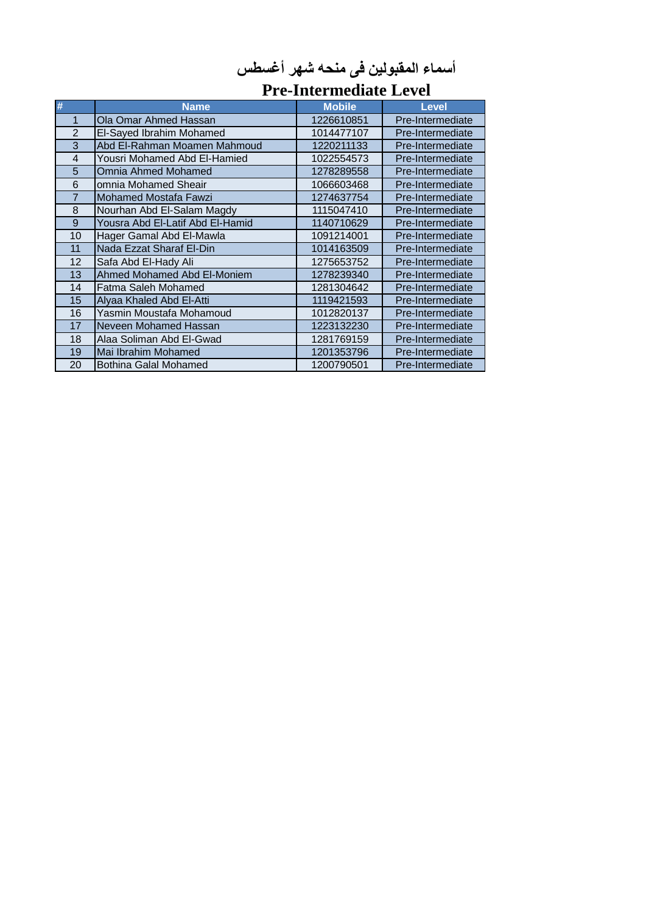|                | <b>Pre-Intermediate Level</b>    |               |                  |
|----------------|----------------------------------|---------------|------------------|
| #              | <b>Name</b>                      | <b>Mobile</b> | <b>Level</b>     |
| 1              | Ola Omar Ahmed Hassan            | 1226610851    | Pre-Intermediate |
| $\overline{2}$ | El-Sayed Ibrahim Mohamed         | 1014477107    | Pre-Intermediate |
| 3              | Abd El-Rahman Moamen Mahmoud     | 1220211133    | Pre-Intermediate |
| $\overline{4}$ | Yousri Mohamed Abd El-Hamied     | 1022554573    | Pre-Intermediate |
| 5              | Omnia Ahmed Mohamed              | 1278289558    | Pre-Intermediate |
| 6              | omnia Mohamed Sheair             | 1066603468    | Pre-Intermediate |
| $\overline{7}$ | <b>Mohamed Mostafa Fawzi</b>     | 1274637754    | Pre-Intermediate |
| 8              | Nourhan Abd El-Salam Magdy       | 1115047410    | Pre-Intermediate |
| 9              | Yousra Abd El-Latif Abd El-Hamid | 1140710629    | Pre-Intermediate |
| 10             | Hager Gamal Abd El-Mawla         | 1091214001    | Pre-Intermediate |
| 11             | Nada Ezzat Sharaf El-Din         | 1014163509    | Pre-Intermediate |
| 12             | Safa Abd El-Hady Ali             | 1275653752    | Pre-Intermediate |
| 13             | Ahmed Mohamed Abd El-Moniem      | 1278239340    | Pre-Intermediate |
| 14             | Fatma Saleh Mohamed              | 1281304642    | Pre-Intermediate |
| 15             | Alyaa Khaled Abd El-Atti         | 1119421593    | Pre-Intermediate |
| 16             | Yasmin Moustafa Mohamoud         | 1012820137    | Pre-Intermediate |
| 17             | Neveen Mohamed Hassan            | 1223132230    | Pre-Intermediate |
| 18             | Alaa Soliman Abd El-Gwad         | 1281769159    | Pre-Intermediate |
| 19             | Mai Ibrahim Mohamed              | 1201353796    | Pre-Intermediate |
| 20             | <b>Bothina Galal Mohamed</b>     | 1200790501    | Pre-Intermediate |

## **أسماء المقبولين فى منحه شهر أغسطس**